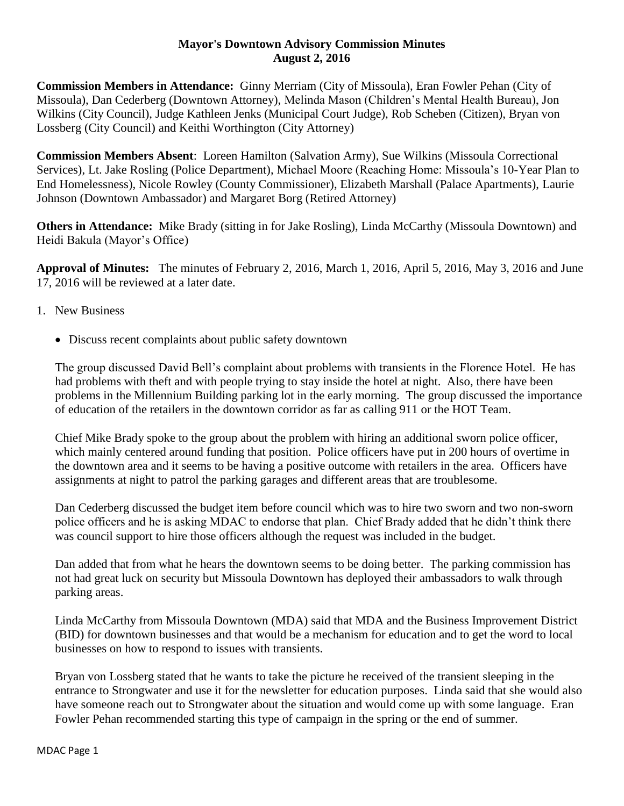## **Mayor's Downtown Advisory Commission Minutes August 2, 2016**

**Commission Members in Attendance:** Ginny Merriam (City of Missoula), Eran Fowler Pehan (City of Missoula), Dan Cederberg (Downtown Attorney), Melinda Mason (Children's Mental Health Bureau), Jon Wilkins (City Council), Judge Kathleen Jenks (Municipal Court Judge), Rob Scheben (Citizen), Bryan von Lossberg (City Council) and Keithi Worthington (City Attorney)

**Commission Members Absent**: Loreen Hamilton (Salvation Army), Sue Wilkins (Missoula Correctional Services), Lt. Jake Rosling (Police Department), Michael Moore (Reaching Home: Missoula's 10-Year Plan to End Homelessness), Nicole Rowley (County Commissioner), Elizabeth Marshall (Palace Apartments), Laurie Johnson (Downtown Ambassador) and Margaret Borg (Retired Attorney)

**Others in Attendance:** Mike Brady (sitting in for Jake Rosling), Linda McCarthy (Missoula Downtown) and Heidi Bakula (Mayor's Office)

**Approval of Minutes:** The minutes of February 2, 2016, March 1, 2016, April 5, 2016, May 3, 2016 and June 17, 2016 will be reviewed at a later date.

- 1. New Business
	- Discuss recent complaints about public safety downtown

The group discussed David Bell's complaint about problems with transients in the Florence Hotel. He has had problems with theft and with people trying to stay inside the hotel at night. Also, there have been problems in the Millennium Building parking lot in the early morning. The group discussed the importance of education of the retailers in the downtown corridor as far as calling 911 or the HOT Team.

Chief Mike Brady spoke to the group about the problem with hiring an additional sworn police officer, which mainly centered around funding that position. Police officers have put in 200 hours of overtime in the downtown area and it seems to be having a positive outcome with retailers in the area. Officers have assignments at night to patrol the parking garages and different areas that are troublesome.

Dan Cederberg discussed the budget item before council which was to hire two sworn and two non-sworn police officers and he is asking MDAC to endorse that plan. Chief Brady added that he didn't think there was council support to hire those officers although the request was included in the budget.

Dan added that from what he hears the downtown seems to be doing better. The parking commission has not had great luck on security but Missoula Downtown has deployed their ambassadors to walk through parking areas.

Linda McCarthy from Missoula Downtown (MDA) said that MDA and the Business Improvement District (BID) for downtown businesses and that would be a mechanism for education and to get the word to local businesses on how to respond to issues with transients.

Bryan von Lossberg stated that he wants to take the picture he received of the transient sleeping in the entrance to Strongwater and use it for the newsletter for education purposes. Linda said that she would also have someone reach out to Strongwater about the situation and would come up with some language. Eran Fowler Pehan recommended starting this type of campaign in the spring or the end of summer.